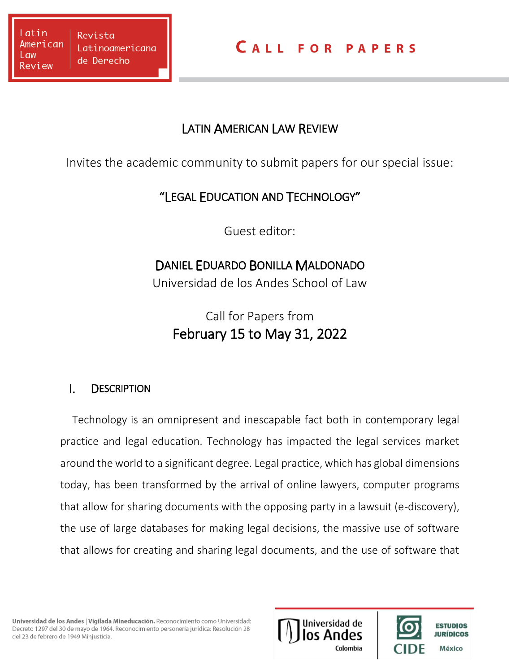### LATIN AMERICAN LAW REVIEW

Invites the academic community to submit papers for our special issue:

# "LEGAL EDUCATION AND TECHNOLOGY"

Guest editor:

# DANIEL EDUARDO BONILLA MALDONADO

Universidad de los Andes School of Law

Call for Papers from February 15 to May 31, 2022

## I. DESCRIPTION

Technology is an omnipresent and inescapable fact both in contemporary legal practice and legal education. Technology has impacted the legal services market around the world to a significant degree. Legal practice, which has global dimensions today, has been transformed by the arrival of online lawyers, computer programs that allow for sharing documents with the opposing party in a lawsuit (e-discovery), the use of large databases for making legal decisions, the massive use of software that allows for creating and sharing legal documents, and the use of software that



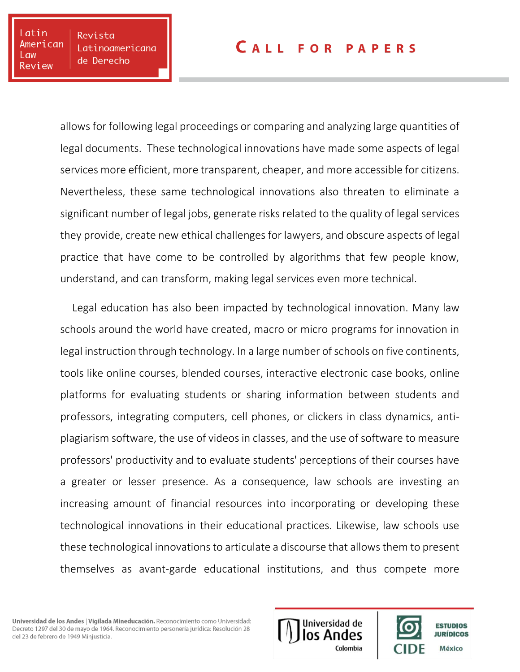#### **CALL FOR PAPERS**

allows for following legal proceedings or comparing and analyzing large quantities of legal documents. These technological innovations have made some aspects of legal services more efficient, more transparent, cheaper, and more accessible for citizens. Nevertheless, these same technological innovations also threaten to eliminate a significant number of legal jobs, generate risks related to the quality of legal services they provide, create new ethical challenges for lawyers, and obscure aspects of legal practice that have come to be controlled by algorithms that few people know, understand, and can transform, making legal services even more technical.

Legal education has also been impacted by technological innovation. Many law schools around the world have created, macro or micro programs for innovation in legal instruction through technology. In a large number of schools on five continents, tools like online courses, blended courses, interactive electronic case books, online platforms for evaluating students or sharing information between students and professors, integrating computers, cell phones, or clickers in class dynamics, antiplagiarism software, the use of videos in classes, and the use of software to measure professors' productivity and to evaluate students' perceptions of their courses have a greater or lesser presence. As a consequence, law schools are investing an increasing amount of financial resources into incorporating or developing these technological innovations in their educational practices. Likewise, law schools use these technological innovations to articulate a discourse that allows them to present themselves as avant-garde educational institutions, and thus compete more

Universidad de los Andes | Vigilada Mineducación. Reconocimiento como Universidad: Decreto 1297 del 30 de mayo de 1964. Reconocimiento personería jurídica: Resolución 28 del 23 de febrero de 1949 Minjusticia.



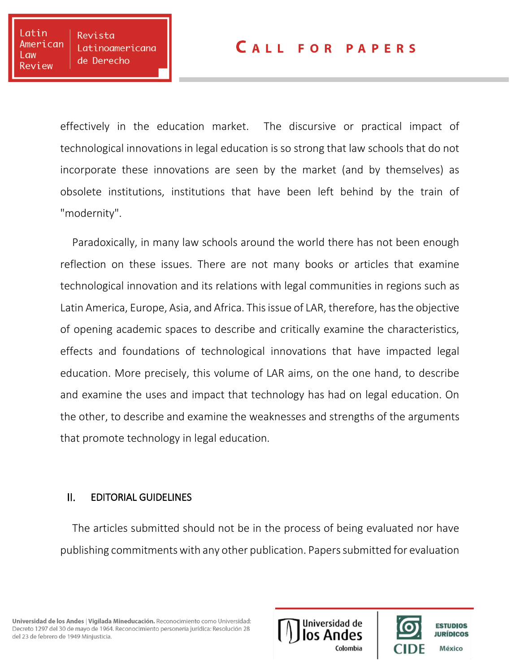#### **CALL FOR PAPERS**

effectively in the education market. The discursive or practical impact of technological innovations in legal education is so strong that law schools that do not incorporate these innovations are seen by the market (and by themselves) as obsolete institutions, institutions that have been left behind by the train of "modernity".

Paradoxically, in many law schools around the world there has not been enough reflection on these issues. There are not many books or articles that examine technological innovation and its relations with legal communities in regions such as Latin America, Europe, Asia, and Africa. This issue of LAR, therefore, has the objective of opening academic spaces to describe and critically examine the characteristics, effects and foundations of technological innovations that have impacted legal education. More precisely, this volume of LAR aims, on the one hand, to describe and examine the uses and impact that technology has had on legal education. On the other, to describe and examine the weaknesses and strengths of the arguments that promote technology in legal education.

#### II. EDITORIAL GUIDELINES

The articles submitted should not be in the process of being evaluated nor have publishing commitments with any other publication. Papers submitted for evaluation